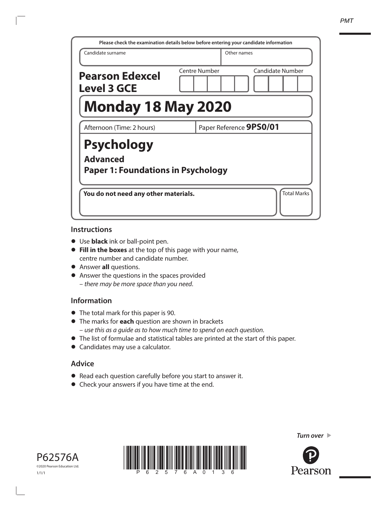|                                                                                   | Please check the examination details below before entering your candidate information |                         |
|-----------------------------------------------------------------------------------|---------------------------------------------------------------------------------------|-------------------------|
| Candidate surname                                                                 | Other names                                                                           |                         |
| <b>Pearson Edexcel</b><br><b>Level 3 GCE</b>                                      | <b>Centre Number</b>                                                                  | <b>Candidate Number</b> |
| <b>Monday 18 May 2020</b>                                                         |                                                                                       |                         |
| Afternoon (Time: 2 hours)                                                         | Paper Reference 9PS0/01                                                               |                         |
| <b>Psychology</b><br><b>Advanced</b><br><b>Paper 1: Foundations in Psychology</b> |                                                                                       |                         |
| You do not need any other materials.                                              |                                                                                       | <b>Total Marks</b>      |

## **Instructions**

- **•** Use **black** ink or ball-point pen.
- **• Fill in the boxes** at the top of this page with your name, centre number and candidate number.
- **•** Answer **all** questions.
- **•** Answer the questions in the spaces provided
	- *there may be more space than you need*.

# **Information**

- **•** The total mark for this paper is 90.
- **•** The marks for **each** question are shown in brackets – *use this as a guide as to how much time to spend on each question*.
- **•** The list of formulae and statistical tables are printed at the start of this paper.
- **•** Candidates may use a calculator.

# **Advice**

- **•** Read each question carefully before you start to answer it.
- **•** Check your answers if you have time at the end.





*Turn over* 

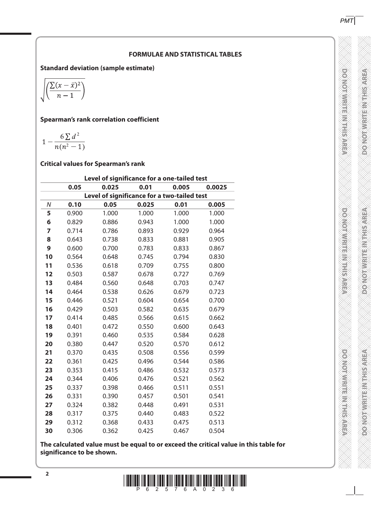**DO NOT WRITE IN THIS AREA** 

DOMOTWRITE MITHISAREA

**DO NOT WRITE IN THE INTERNATIONAL PROPERTY IS A REAL PROPERTY OF A REAL PROPERTY.** 

**DOMOTIVITIE METHERALEM** 

**DO NOT WRITE IN THIS AREA**

DOMOTWRITE MITHIEMAREA

### **FORMULAE AND STATISTICAL TABLES**

# **Standard deviation (sample estimate)**

$$
\sqrt{\left(\frac{\sum (x-\bar{x})^2}{n-1}\right)}
$$

**Spearman's rank correlation coefficient**

$$
1-\frac{6\sum d^2}{n(n^2-1)}
$$

## **Critical values for Spearman's rank**

|    |       |       | Level of significance for a one-tailed test |       |        |
|----|-------|-------|---------------------------------------------|-------|--------|
|    | 0.05  | 0.025 | 0.01                                        | 0.005 | 0.0025 |
|    |       |       | Level of significance for a two-tailed test |       |        |
| N  | 0.10  | 0.05  | 0.025                                       | 0.01  | 0.005  |
| 5  | 0.900 | 1.000 | 1.000                                       | 1.000 | 1.000  |
| 6  | 0.829 | 0.886 | 0.943                                       | 1.000 | 1.000  |
| 7  | 0.714 | 0.786 | 0.893                                       | 0.929 | 0.964  |
| 8  | 0.643 | 0.738 | 0.833                                       | 0.881 | 0.905  |
| 9  | 0.600 | 0.700 | 0.783                                       | 0.833 | 0.867  |
| 10 | 0.564 | 0.648 | 0.745                                       | 0.794 | 0.830  |
| 11 | 0.536 | 0.618 | 0.709                                       | 0.755 | 0.800  |
| 12 | 0.503 | 0.587 | 0.678                                       | 0.727 | 0.769  |
| 13 | 0.484 | 0.560 | 0.648                                       | 0.703 | 0.747  |
| 14 | 0.464 | 0.538 | 0.626                                       | 0.679 | 0.723  |
| 15 | 0.446 | 0.521 | 0.604                                       | 0.654 | 0.700  |
| 16 | 0.429 | 0.503 | 0.582                                       | 0.635 | 0.679  |
| 17 | 0.414 | 0.485 | 0.566                                       | 0.615 | 0.662  |
| 18 | 0.401 | 0.472 | 0.550                                       | 0.600 | 0.643  |
| 19 | 0.391 | 0.460 | 0.535                                       | 0.584 | 0.628  |
| 20 | 0.380 | 0.447 | 0.520                                       | 0.570 | 0.612  |
| 21 | 0.370 | 0.435 | 0.508                                       | 0.556 | 0.599  |
| 22 | 0.361 | 0.425 | 0.496                                       | 0.544 | 0.586  |
| 23 | 0.353 | 0.415 | 0.486                                       | 0.532 | 0.573  |
| 24 | 0.344 | 0.406 | 0.476                                       | 0.521 | 0.562  |
| 25 | 0.337 | 0.398 | 0.466                                       | 0.511 | 0.551  |
| 26 | 0.331 | 0.390 | 0.457                                       | 0.501 | 0.541  |
| 27 | 0.324 | 0.382 | 0.448                                       | 0.491 | 0.531  |
| 28 | 0.317 | 0.375 | 0.440                                       | 0.483 | 0.522  |
| 29 | 0.312 | 0.368 | 0.433                                       | 0.475 | 0.513  |
| 30 | 0.306 | 0.362 | 0.425                                       | 0.467 | 0.504  |

**The calculated value must be equal to or exceed the critical value in this table for significance to be shown.**

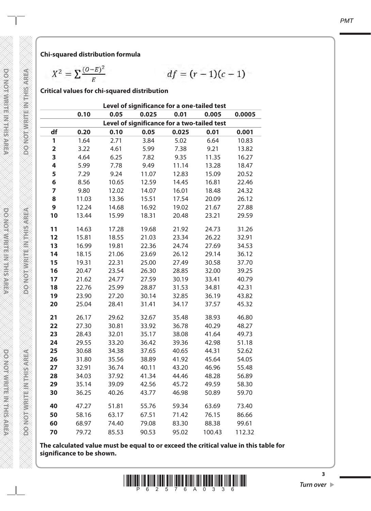$$
X^2 = \sum \frac{(O-E)^2}{E} \qquad df = (r-1)(c-1)
$$

|                         |                           |                | Level of significance for a one-tailed test |                |                                                                               |                |
|-------------------------|---------------------------|----------------|---------------------------------------------|----------------|-------------------------------------------------------------------------------|----------------|
|                         | 0.10                      | 0.05           | 0.025                                       | 0.01           | 0.005                                                                         | 0.0005         |
|                         |                           |                | Level of significance for a two-tailed test |                |                                                                               |                |
| df                      | 0.20                      | 0.10           | 0.05                                        | 0.025          | 0.01                                                                          | 0.001          |
| 1                       | 1.64                      | 2.71           | 3.84                                        | 5.02           | 6.64                                                                          | 10.83          |
| $\overline{\mathbf{2}}$ | 3.22                      | 4.61           | 5.99                                        | 7.38           | 9.21                                                                          | 13.82          |
| 3                       | 4.64                      | 6.25           | 7.82                                        | 9.35           | 11.35                                                                         | 16.27          |
| 4                       | 5.99                      | 7.78           | 9.49                                        | 11.14          | 13.28                                                                         | 18.47          |
| 5                       | 7.29                      | 9.24           | 11.07                                       | 12.83          | 15.09                                                                         | 20.52          |
| 6                       | 8.56                      | 10.65          | 12.59                                       | 14.45          | 16.81                                                                         | 22.46          |
| 7                       | 9.80                      | 12.02          | 14.07                                       | 16.01          | 18.48                                                                         | 24.32          |
| 8                       | 11.03                     | 13.36          | 15.51                                       | 17.54          | 20.09                                                                         | 26.12          |
| 9                       | 12.24                     | 14.68          | 16.92                                       | 19.02          | 21.67                                                                         | 27.88          |
| 10                      | 13.44                     | 15.99          | 18.31                                       | 20.48          | 23.21                                                                         | 29.59          |
| 11                      | 14.63                     | 17.28          | 19.68                                       | 21.92          | 24.73                                                                         | 31.26          |
| 12                      | 15.81                     | 18.55          | 21.03                                       | 23.34          | 26.22                                                                         | 32.91          |
| 13                      | 16.99                     | 19.81          | 22.36                                       | 24.74          | 27.69                                                                         | 34.53          |
| 14                      | 18.15                     | 21.06          | 23.69                                       | 26.12          | 29.14                                                                         | 36.12          |
| 15                      | 19.31                     | 22.31          | 25.00                                       | 27.49          | 30.58                                                                         | 37.70          |
| 16                      | 20.47                     | 23.54          | 26.30                                       | 28.85          | 32.00                                                                         | 39.25          |
| 17                      | 21.62                     | 24.77          | 27.59                                       | 30.19          | 33.41                                                                         | 40.79          |
| 18                      | 22.76                     | 25.99          | 28.87                                       | 31.53          | 34.81                                                                         | 42.31          |
| 19                      | 23.90                     | 27.20          | 30.14                                       | 32.85          | 36.19                                                                         | 43.82          |
| 20                      | 25.04                     | 28.41          | 31.41                                       | 34.17          | 37.57                                                                         | 45.32          |
| 21                      | 26.17                     | 29.62          | 32.67                                       | 35.48          | 38.93                                                                         | 46.80          |
| 22                      | 27.30                     | 30.81          | 33.92                                       | 36.78          | 40.29                                                                         | 48.27          |
| 23                      | 28.43                     | 32.01          | 35.17                                       | 38.08          | 41.64                                                                         | 49.73          |
|                         | 29.55                     |                |                                             | 39.36          |                                                                               |                |
| 24                      |                           | 33.20          | 36.42                                       |                | 42.98                                                                         | 51.18          |
| 25                      | 30.68                     | 34.38          | 37.65                                       | 40.65          | 44.31                                                                         | 52.62          |
| 26                      | 31.80                     | 35.56          | 38.89                                       | 41.92          | 45.64                                                                         | 54.05          |
| 27                      | 32.91                     | 36.74          | 40.11                                       | 43.20          | 46.96                                                                         | 55.48          |
| 28                      | 34.03                     | 37.92          | 41.34                                       | 44.46          | 48.28                                                                         | 56.89          |
| 29<br>30                | 35.14<br>36.25            | 39.09<br>40.26 | 42.56<br>43.77                              | 45.72<br>46.98 | 49.59<br>50.89                                                                | 58.30<br>59.70 |
|                         |                           |                |                                             |                |                                                                               |                |
| 40                      | 47.27                     | 51.81          | 55.76                                       | 59.34          | 63.69                                                                         | 73.40          |
| 50                      | 58.16                     | 63.17          | 67.51                                       | 71.42          | 76.15                                                                         | 86.66          |
| 60                      | 68.97                     | 74.40          | 79.08                                       | 83.30          | 88.38                                                                         | 99.61          |
| 70                      | 79.72                     | 85.53          | 90.53                                       | 95.02          | 100.43                                                                        | 112.32         |
|                         | significance to be shown. |                |                                             |                | The calculated value must be equal to or exceed the critical value in this ta |                |

**The calculated value must be equal to or exceed the critical value in this table for significance to be shown.**

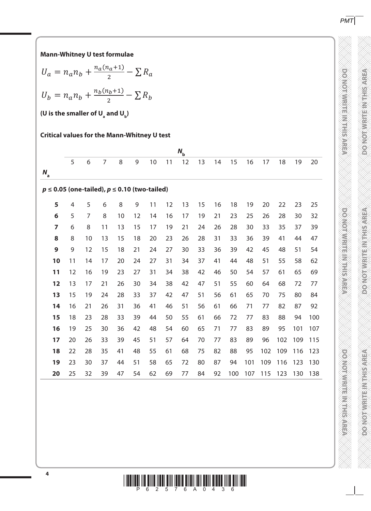**DO NOT WRITE IN THIS AREA** 

DO NOT WRITE IN THE AREA

**DO NOT WRITE IN THE INTERNATIONAL PROPERTY IS A REAL PROPERTY OF A REAL PROPERTY.** 

**DO NOTAWARE RESERVED** 

**DO NOT WRITE IN THIS AREA**

DO NOTWRITE MITHIERAREA

### **Mann-Whitney U test formulae Mann-Whitney U test formulae**

$$
U_a = n_a n_b + \frac{n_a (n_a + 1)}{2} - \sum R_a
$$
  

$$
U_b = n_a n_b + \frac{n_b (n_b + 1)}{2} - \sum R_b
$$

(U is the smaller of U<sub>a</sub> and U<sub>b</sub>)

### **Critical values for the Mann-Whitney U test Critical values for the Mann-Whitney U test**

|                                                      |    |                |                |    |    |    |    | $N_{\rm b}$ |    |    |     |     |     |     |     |     |
|------------------------------------------------------|----|----------------|----------------|----|----|----|----|-------------|----|----|-----|-----|-----|-----|-----|-----|
|                                                      | 5  | 6              | $\overline{7}$ | 8  | 9  | 10 | 11 | 12          | 13 | 14 | 15  | 16  | 17  | 18  | 19  | 20  |
| $N_{\rm a}$                                          |    |                |                |    |    |    |    |             |    |    |     |     |     |     |     |     |
| $p \le 0.05$ (one-tailed), $p \le 0.10$ (two-tailed) |    |                |                |    |    |    |    |             |    |    |     |     |     |     |     |     |
| 5                                                    | 4  | 5              | 6              | 8  | 9  | 11 | 12 | 13          | 15 | 16 | 18  | 19  | 20  | 22  | 23  | 25  |
| 6                                                    | 5  | $\overline{7}$ | 8              | 10 | 12 | 14 | 16 | 17          | 19 | 21 | 23  | 25  | 26  | 28  | 30  | 32  |
| 7                                                    | 6  | 8              | 11             | 13 | 15 | 17 | 19 | 21          | 24 | 26 | 28  | 30  | 33  | 35  | 37  | 39  |
| 8                                                    | 8  | 10             | 13             | 15 | 18 | 20 | 23 | 26          | 28 | 31 | 33  | 36  | 39  | 41  | 44  | 47  |
| 9                                                    | 9  | 12             | 15             | 18 | 21 | 24 | 27 | 30          | 33 | 36 | 39  | 42  | 45  | 48  | 51  | 54  |
| 10                                                   | 11 | 14             | 17             | 20 | 24 | 27 | 31 | 34          | 37 | 41 | 44  | 48  | 51  | 55  | 58  | 62  |
| 11                                                   | 12 | 16             | 19             | 23 | 27 | 31 | 34 | 38          | 42 | 46 | 50  | 54  | 57  | 61  | 65  | 69  |
| 12                                                   | 13 | 17             | 21             | 26 | 30 | 34 | 38 | 42          | 47 | 51 | 55  | 60  | 64  | 68  | 72  | 77  |
| 13                                                   | 15 | 19             | 24             | 28 | 33 | 37 | 42 | 47          | 51 | 56 | 61  | 65  | 70  | 75  | 80  | 84  |
| 14                                                   | 16 | 21             | 26             | 31 | 36 | 41 | 46 | 51          | 56 | 61 | 66  | 71  | 77  | 82  | 87  | 92  |
| 15                                                   | 18 | 23             | 28             | 33 | 39 | 44 | 50 | 55          | 61 | 66 | 72  | 77  | 83  | 88  | 94  | 100 |
| 16                                                   | 19 | 25             | 30             | 36 | 42 | 48 | 54 | 60          | 65 | 71 | 77  | 83  | 89  | 95  | 101 | 107 |
| 17                                                   | 20 | 26             | 33             | 39 | 45 | 51 | 57 | 64          | 70 | 77 | 83  | 89  | 96  | 102 | 109 | 115 |
| 18                                                   | 22 | 28             | 35             | 41 | 48 | 55 | 61 | 68          | 75 | 82 | 88  | 95  | 102 | 109 | 116 | 123 |
| 19                                                   | 23 | 30             | 37             | 44 | 51 | 58 | 65 | 72          | 80 | 87 | 94  | 101 | 109 | 116 | 123 | 130 |
| 20                                                   | 25 | 32             | 39             | 47 | 54 | 62 | 69 | 77          | 84 | 92 | 100 | 107 | 115 | 123 | 130 | 138 |

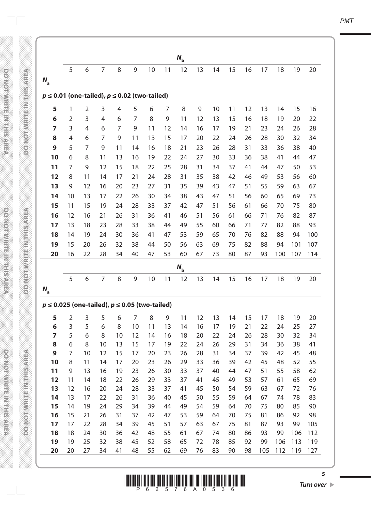|                                                         | 5              | 6              | $\overline{7}$ | 8        | 9              | 10       | 11       | 12          | 13       | 14       | 15       | 16       | 17       | 18       | 19       | 20       |
|---------------------------------------------------------|----------------|----------------|----------------|----------|----------------|----------|----------|-------------|----------|----------|----------|----------|----------|----------|----------|----------|
| $N_{\rm a}$                                             |                |                |                |          |                |          |          |             |          |          |          |          |          |          |          |          |
| $p \le 0.01$ (one-tailed), $p \le 0.02$ (two-tailed)    |                |                |                |          |                |          |          |             |          |          |          |          |          |          |          |          |
| 5                                                       | 1              | $\overline{2}$ | 3              | 4        | 5              | 6        | 7        | 8           | 9        | 10       | 11       | 12       | 13       | 14       | 15       | 16       |
| 6                                                       | $\overline{2}$ | 3              | $\overline{4}$ | 6        | 7              | 8        | 9        | 11          | 12       | 13       | 15       | 16       | 18       | 19       | 20       | 22       |
| 7                                                       | 3              | 4              | 6              | 7        | 9              | 11       | 12       | 14          | 16       | 17       | 19       | 21       | 23       | 24       | 26       | 28       |
| 8                                                       | $\overline{4}$ | 6              | $\overline{7}$ | 9        | 11             | 13       | 15       | 17          | 20       | 22       | 24       | 26       | 28       | 30       | 32       | 34       |
| 9                                                       | 5              | 7              | 9              | 11       | 14             | 16       | 18       | 21          | 23       | 26       | 28       | 31       | 33       | 36       | 38       | 40       |
| 10                                                      | 6              | 8              | 11             | 13       | 16             | 19       | 22       | 24          | 27       | 30       | 33       | 36       | 38       | 41       | 44       | 47       |
| 11                                                      | $\overline{7}$ | 9              | 12             | 15       | 18             | 22       | 25       | 28          | 31       | 34       | 37       | 41       | 44       | 47       | 50       | 53       |
| 12                                                      | 8              | 11             | 14             | 17       | 21             | 24       | 28       | 31          | 35       | 38       | 42       | 46       | 49       | 53       | 56       | 60       |
| 13                                                      | 9              | 12             | 16             | 20       | 23             | 27       | 31       | 35          | 39       | 43       | 47       | 51       | 55       | 59       | 63       | 67       |
| 14                                                      | 10             | 13             | 17             | 22       | 26             | 30       | 34       | 38          | 43       | 47       | 51       | 56       | 60       | 65       | 69       | 73       |
| 15                                                      | 11             | 15             | 19             | 24       | 28             | 33       | 37       | 42          | 47       | 51       | 56       | 61       | 66       | 70       | 75       | 80       |
| 16                                                      | 12             | 16             | 21             | 26       | 31             | 36       | 41       | 46          | 51       | 56       | 61       | 66       | 71       | 76       | 82       | 87       |
| 17                                                      | 13             | 18             | 23             | 28       | 33             | 38       | 44       | 49          | 55       | 60       | 66       | 71       | 77       | 82       | 88       | 93       |
| 18                                                      | 14             | 19             | 24             | 30       | 36             | 41       | 47       | 53          | 59       | 65       | 70       | 76       | 82       | 88       | 94       | 100      |
| 19                                                      | 15             | 20             | 26             | 32       | 38             | 44       | 50       | 56          | 63       | 69       | 75       | 82       | 88       | 94       | 101      | 107      |
| 20                                                      | 16             | 22             | 28             | 34       | 40             | 47       | 53       | 60          | 67       | 73       | 80       | 87       | 93       | 100      | 107      | 114      |
|                                                         |                |                |                |          |                |          |          | $N_{\rm b}$ |          |          |          |          |          |          |          |          |
|                                                         | 5              | 6              | $\overline{7}$ | 8        | 9              | 10       | 11       | 12          | 13       | 14       | 15       | 16       | 17       | 18       | 19       | 20       |
| $N_{\rm a}$                                             |                |                |                |          |                |          |          |             |          |          |          |          |          |          |          |          |
| $p \leq 0.025$ (one-tailed), $p \leq 0.05$ (two-tailed) |                |                |                |          |                |          |          |             |          |          |          |          |          |          |          |          |
| 5                                                       | $\overline{2}$ | 3              | 5              | 6        | $\overline{7}$ | 8        | 9        | 11          | 12       | 13       | 14       | 15       | 17       | 18       | 19       | 20       |
| 6                                                       | 3              | 5              | 6              | 8        | 10             | 11       | 13       | 14          | 16       | 17       | 19       | 21       | 22       | 24       | 25       | 27       |
| 7                                                       | 5              | 6              | 8              | 10       | 12             | 14       | 16       | 18          | 20       | 22       | 24       | 26       | 28       | 30       | 32       | 34       |
| 8                                                       | 6              | 8              | 10             | 13       | 15             | 17       | 19       | 22          | 24       | 26       | 29       | 31       | 34       | 36       | 38       | 41       |
| 9                                                       | $\overline{7}$ | 10             | 12             | 15       | 17             | 20       | 23       | 26          | 28       | 31       | 34       | 37       | 39       | 42       | 45       | 48       |
| 10                                                      | 8              | 11             | 14             | 17       | 20             | 23       | 26       | 29          | 33       | 36       | 39       | 42       | 45       | 48       | 52       | 55       |
| 11<br>12                                                | 9<br>11        | 13<br>14       | 16<br>18       | 19       | 23             | 26<br>29 | 30<br>33 | 33<br>37    | 37       | 40<br>45 | 44<br>49 | 47<br>53 | 51       | 55<br>61 | 58<br>65 | 62<br>69 |
| 13                                                      | 12             | 16             | 20             | 22<br>24 | 26<br>28       | 33       | 37       | 41          | 41<br>45 | 50       | 54       | 59       | 57<br>63 | 67       | 72       | 76       |
| 14                                                      | 13             | 17             | 22             | 26       | 31             | 36       | 40       | 45          | 50       | 55       | 59       | 64       | 67       | 74       | 78       | 83       |
| 15                                                      | 14             | 19             | 24             | 29       | 34             | 39       | 44       | 49          | 54       | 59       | 64       | 70       | 75       | 80       | 85       | 90       |
| 16                                                      | 15             | 21             | 26             | 31       | 37             | 42       | 47       | 53          | 59       | 64       | 70       | 75       | 81       | 86       | 92       | 98       |
| 17                                                      | 17             | 22             | 28             | 34       | 39             | 45       | 51       | 57          | 63       | 67       | 75       | 81       | 87       | 93       | 99       | 105      |
| 18                                                      | 18             | 24             | 30             | 36       | 42             | 48       | 55       | 61          | 67       | 74       | 80       | 86       | 93       | 99       | 106      | 112      |
| 19                                                      | 19             | 25             | 32             | 38       | 45             | 52       | 58       | 65          | 72       | 78       | 85       | 92       | 99       | 106      | 113      | 119      |
| 20                                                      | 20             | 27             | 34             | 41       | 48             | 55       | 62       | 69          | 76       | 83       | 90       | 98       | 105      | 112      | 119      | 127      |
|                                                         |                |                |                |          |                |          |          |             |          |          |          |          |          |          |          |          |



**DONOT WRITE IN THIS AREA**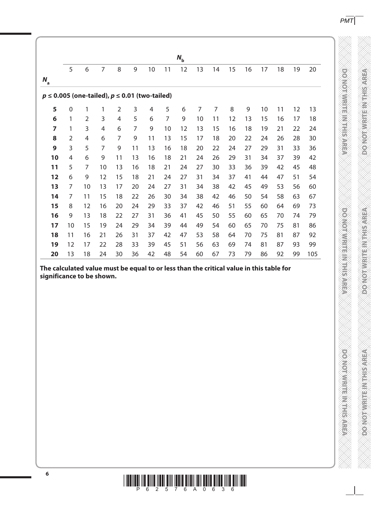**DO NOT WRITE IN THIS AREA** 

DO NOT WRITE IN THIS AREA

**DO NOT WRITE IN THE INTERNATIONAL PROPERTY IS A REAL PROPERTY OF A REAL PROPERTY.** 

DO NOT WRITE IN HER SHEEN

**DO NOT WRITE IN THIS AREA**

DO NOT WRITE IN THIS AREA

|                                                       |                |                |                |                |                |                |                | $N_{\rm b}$ |                |                |    |    |    |    |    |     |
|-------------------------------------------------------|----------------|----------------|----------------|----------------|----------------|----------------|----------------|-------------|----------------|----------------|----|----|----|----|----|-----|
|                                                       | 5              | 6              | $\overline{7}$ | 8              | 9              | 10             | 11             | 12          | 13             | 14             | 15 | 16 | 17 | 18 | 19 | 20  |
| $N_{\rm a}$                                           |                |                |                |                |                |                |                |             |                |                |    |    |    |    |    |     |
| $p \le 0.005$ (one-tailed), $p \le 0.01$ (two-tailed) |                |                |                |                |                |                |                |             |                |                |    |    |    |    |    |     |
| 5                                                     | $\mathbf 0$    | 1              | 1              | $\overline{2}$ | 3              | $\overline{4}$ | 5              | 6           | $\overline{7}$ | $\overline{7}$ | 8  | 9  | 10 | 11 | 12 | 13  |
| 6                                                     | 1              | $\overline{2}$ | 3              | $\overline{4}$ | 5              | 6              | $\overline{7}$ | 9           | 10             | 11             | 12 | 13 | 15 | 16 | 17 | 18  |
| $\overline{7}$                                        | 1              | $\overline{3}$ | $\overline{4}$ | 6              | $\overline{7}$ | 9              | 10             | 12          | 13             | 15             | 16 | 18 | 19 | 21 | 22 | 24  |
| 8                                                     | $\overline{2}$ | 4              | 6              | $\overline{7}$ | 9              | 11             | 13             | 15          | 17             | 18             | 20 | 22 | 24 | 26 | 28 | 30  |
| 9                                                     | 3              | 5              | $\overline{7}$ | 9              | 11             | 13             | 16             | 18          | 20             | 22             | 24 | 27 | 29 | 31 | 33 | 36  |
| 10                                                    | 4              | 6              | 9              | 11             | 13             | 16             | 18             | 21          | 24             | 26             | 29 | 31 | 34 | 37 | 39 | 42  |
| 11                                                    | 5              | 7              | 10             | 13             | 16             | 18             | 21             | 24          | 27             | 30             | 33 | 36 | 39 | 42 | 45 | 48  |
| 12                                                    | 6              | 9              | 12             | 15             | 18             | 21             | 24             | 27          | 31             | 34             | 37 | 41 | 44 | 47 | 51 | 54  |
| 13                                                    | 7              | 10             | 13             | 17             | 20             | 24             | 27             | 31          | 34             | 38             | 42 | 45 | 49 | 53 | 56 | 60  |
| 14                                                    | 7              | 11             | 15             | 18             | 22             | 26             | 30             | 34          | 38             | 42             | 46 | 50 | 54 | 58 | 63 | 67  |
| 15                                                    | 8              | 12             | 16             | 20             | 24             | 29             | 33             | 37          | 42             | 46             | 51 | 55 | 60 | 64 | 69 | 73  |
| 16                                                    | 9              | 13             | 18             | 22             | 27             | 31             | 36             | 41          | 45             | 50             | 55 | 60 | 65 | 70 | 74 | 79  |
| 17                                                    | 10             | 15             | 19             | 24             | 29             | 34             | 39             | 44          | 49             | 54             | 60 | 65 | 70 | 75 | 81 | 86  |
| 18                                                    | 11             | 16             | 21             | 26             | 31             | 37             | 42             | 47          | 53             | 58             | 64 | 70 | 75 | 81 | 87 | 92  |
| 19                                                    | 12             | 17             | 22             | 28             | 33             | 39             | 45             | 51          | 56             | 63             | 69 | 74 | 81 | 87 | 93 | 99  |
| 20                                                    | 13             | 18             | 24             | 30             | 36             | 42             | 48             | 54          | 60             | 67             | 73 | 79 | 86 | 92 | 99 | 105 |

**The calculated value must be equal to or less than the critical value in this table for significance to be shown.**

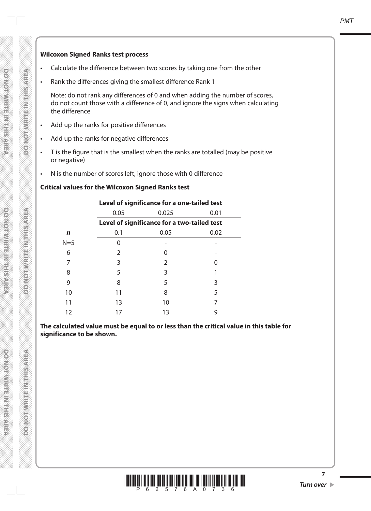- Calculate the difference between two scores by taking one from the other
- Rank the differences giving the smallest difference Rank 1

 Note: do not rank any differences of 0 and when adding the number of scores, do not count those with a difference of 0, and ignore the signs when calculating the difference

- Add up the ranks for positive differences
- Add up the ranks for negative differences
- T is the figure that is the smallest when the ranks are totalled (may be positive or negative)
- N is the number of scores left, ignore those with 0 difference

# **Critical values for the Wilcoxon Signed Ranks test**

|           | <b>Wilcoxon Signed Ranks test process</b>                 |      |                                                                |                                                                                                                                           |
|-----------|-----------------------------------------------------------|------|----------------------------------------------------------------|-------------------------------------------------------------------------------------------------------------------------------------------|
| $\bullet$ |                                                           |      |                                                                | Calculate the difference between two scores by taking one from the                                                                        |
| $\bullet$ |                                                           |      | Rank the differences giving the smallest difference Rank 1     |                                                                                                                                           |
|           | the difference                                            |      |                                                                | Note: do not rank any differences of 0 and when adding the number<br>do not count those with a difference of 0, and ignore the signs when |
| $\bullet$ | Add up the ranks for positive differences                 |      |                                                                |                                                                                                                                           |
| $\bullet$ | Add up the ranks for negative differences                 |      |                                                                |                                                                                                                                           |
| $\bullet$ | or negative)                                              |      |                                                                | T is the figure that is the smallest when the ranks are totalled (may be                                                                  |
| $\bullet$ |                                                           |      | N is the number of scores left, ignore those with 0 difference |                                                                                                                                           |
|           | <b>Critical values for the Wilcoxon Signed Ranks test</b> |      |                                                                |                                                                                                                                           |
|           |                                                           |      | Level of significance for a one-tailed test                    |                                                                                                                                           |
|           |                                                           | 0.05 | 0.025                                                          | 0.01                                                                                                                                      |
|           |                                                           |      | Level of significance for a two-tailed test                    |                                                                                                                                           |
|           | n                                                         | 0.1  | 0.05                                                           | 0.02                                                                                                                                      |
|           | $N=5$                                                     | 0    |                                                                |                                                                                                                                           |
|           | 6                                                         | 2    | 0                                                              |                                                                                                                                           |
|           | 7                                                         | 3    | 2                                                              | 0                                                                                                                                         |
|           | 8                                                         | 5    | 3                                                              | 1                                                                                                                                         |
|           | 9                                                         | 8    | 5                                                              | 3                                                                                                                                         |
|           | 10                                                        | 11   | 8                                                              | 5                                                                                                                                         |
|           | 11                                                        | 13   | 10                                                             | 7                                                                                                                                         |
|           | 12                                                        | 17   | 13                                                             | 9                                                                                                                                         |
|           | significance to be shown.                                 |      |                                                                | The calculated value must be equal to or less than the critical value i                                                                   |
|           |                                                           |      |                                                                |                                                                                                                                           |

**The calculated value must be equal to or less than the critical value in this table for significance to be shown.**

**DOMOT WRITEIN THIS AREA** 

**REPARTMENT ENGINEERING** 

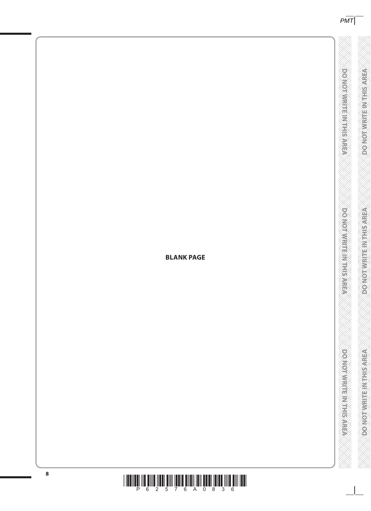**DO NOT WRITE IN THIS AREA** 

**DO NOT WRITER NIEHER AREA** 



**BLANK PAGE**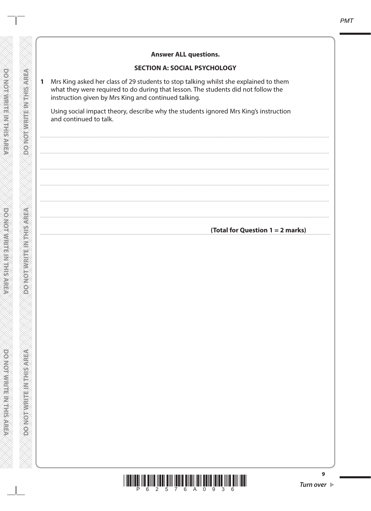### **Answer ALL questions.**

### **SECTION A: SOCIAL PSYCHOLOGY**

Mrs King asked her class of 29 students to stop talking whilst she explained to them  $\mathbf{1}$ what they were required to do during that lesson. The students did not follow the instruction given by Mrs King and continued talking.

Using social impact theory, describe why the students ignored Mrs King's instruction and continued to talk.

## (Total for Question 1 = 2 marks)



 $\overline{9}$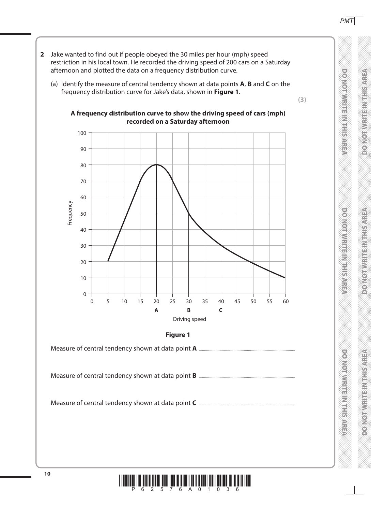- *PMT*
- DONOTWRITE IN THIS AREA **DO NOT WRITE IN THIS AREA**

**(3)**

DO NOT WRITEIN THE RAREA **DO NOT WRITE IN THIS AREA**



**2** Jake wanted to find out if people obeyed the 30 miles per hour (mph) speed







Measure of central tendency shown at data point **B** ............................................................................................

Measure of central tendency shown at data point **C** ............................................................................................

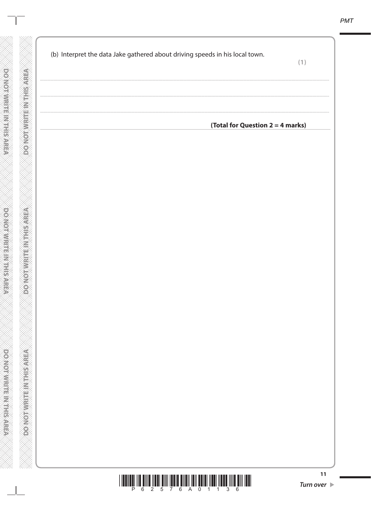| (b) Interpret the data Jake gathered about driving speeds in his local town. | (1)                             |
|------------------------------------------------------------------------------|---------------------------------|
|                                                                              |                                 |
|                                                                              |                                 |
|                                                                              |                                 |
| (Total for Question 2 = 4 marks)                                             |                                 |
|                                                                              |                                 |
|                                                                              |                                 |
|                                                                              |                                 |
|                                                                              |                                 |
|                                                                              |                                 |
|                                                                              |                                 |
|                                                                              |                                 |
|                                                                              |                                 |
|                                                                              |                                 |
|                                                                              |                                 |
|                                                                              |                                 |
|                                                                              |                                 |
|                                                                              |                                 |
|                                                                              |                                 |
|                                                                              |                                 |
|                                                                              |                                 |
|                                                                              |                                 |
|                                                                              |                                 |
|                                                                              |                                 |
|                                                                              |                                 |
|                                                                              |                                 |
|                                                                              | Turn over $\blacktriangleright$ |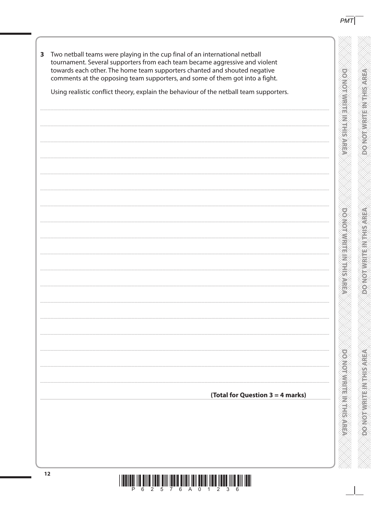| 3 | Two netball teams were playing in the cup final of an international netball<br>tournament. Several supporters from each team became aggressive and violent<br>towards each other. The home team supporters chanted and shouted negative<br>comments at the opposing team supporters, and some of them got into a fight. |
|---|-------------------------------------------------------------------------------------------------------------------------------------------------------------------------------------------------------------------------------------------------------------------------------------------------------------------------|
|   | Using realistic conflict theory, explain the behaviour of the netball team supporters.                                                                                                                                                                                                                                  |
|   |                                                                                                                                                                                                                                                                                                                         |
|   |                                                                                                                                                                                                                                                                                                                         |
|   |                                                                                                                                                                                                                                                                                                                         |
|   |                                                                                                                                                                                                                                                                                                                         |
|   |                                                                                                                                                                                                                                                                                                                         |
|   |                                                                                                                                                                                                                                                                                                                         |
|   |                                                                                                                                                                                                                                                                                                                         |
|   |                                                                                                                                                                                                                                                                                                                         |
|   |                                                                                                                                                                                                                                                                                                                         |
|   |                                                                                                                                                                                                                                                                                                                         |
|   |                                                                                                                                                                                                                                                                                                                         |
|   |                                                                                                                                                                                                                                                                                                                         |
|   |                                                                                                                                                                                                                                                                                                                         |
|   |                                                                                                                                                                                                                                                                                                                         |
|   |                                                                                                                                                                                                                                                                                                                         |
|   |                                                                                                                                                                                                                                                                                                                         |
|   |                                                                                                                                                                                                                                                                                                                         |
|   |                                                                                                                                                                                                                                                                                                                         |
|   |                                                                                                                                                                                                                                                                                                                         |
|   |                                                                                                                                                                                                                                                                                                                         |
|   | (Total for Question 3 = 4 marks)                                                                                                                                                                                                                                                                                        |
|   |                                                                                                                                                                                                                                                                                                                         |
|   |                                                                                                                                                                                                                                                                                                                         |
|   |                                                                                                                                                                                                                                                                                                                         |
|   |                                                                                                                                                                                                                                                                                                                         |
|   |                                                                                                                                                                                                                                                                                                                         |

**DOMOTWRITE IN THIS AREA** 

E<br>EKROPSI

**DO NOT MISSION REPORTS** 

DO NOT WRITE IN THIS AREA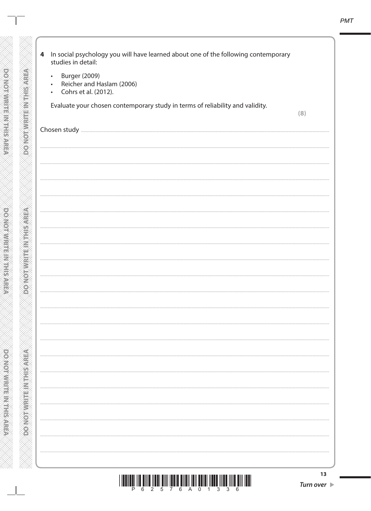| <b>Burger (2009)</b><br>$\bullet$<br>Reicher and Haslam (2006)<br>$\bullet$<br>Cohrs et al. (2012).<br>$\bullet$ |                                                                               |                                 |
|------------------------------------------------------------------------------------------------------------------|-------------------------------------------------------------------------------|---------------------------------|
|                                                                                                                  | Evaluate your chosen contemporary study in terms of reliability and validity. | (8)                             |
|                                                                                                                  |                                                                               |                                 |
|                                                                                                                  |                                                                               |                                 |
|                                                                                                                  |                                                                               |                                 |
|                                                                                                                  |                                                                               |                                 |
|                                                                                                                  |                                                                               |                                 |
|                                                                                                                  |                                                                               |                                 |
|                                                                                                                  |                                                                               |                                 |
|                                                                                                                  |                                                                               |                                 |
|                                                                                                                  |                                                                               |                                 |
|                                                                                                                  |                                                                               |                                 |
|                                                                                                                  |                                                                               |                                 |
|                                                                                                                  |                                                                               |                                 |
|                                                                                                                  |                                                                               |                                 |
|                                                                                                                  |                                                                               |                                 |
|                                                                                                                  |                                                                               |                                 |
|                                                                                                                  |                                                                               |                                 |
|                                                                                                                  |                                                                               |                                 |
|                                                                                                                  |                                                                               |                                 |
|                                                                                                                  |                                                                               |                                 |
|                                                                                                                  |                                                                               |                                 |
|                                                                                                                  |                                                                               |                                 |
|                                                                                                                  |                                                                               |                                 |
|                                                                                                                  |                                                                               |                                 |
|                                                                                                                  |                                                                               | 13                              |
|                                                                                                                  |                                                                               | Turn over $\blacktriangleright$ |

**DO NOT WRITE IN THIS AREA** 

**DONOTWEITEINTHIS AREA** 

**ASSANS CITED MOTOR CONCORDER**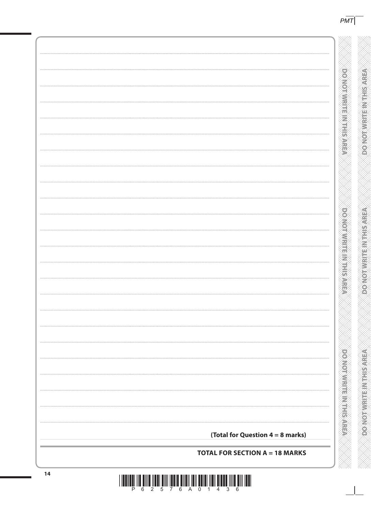| (Total for Question 4 = 8 marks)      |
|---------------------------------------|
| <b>TOTAL FOR SECTION A = 18 MARKS</b> |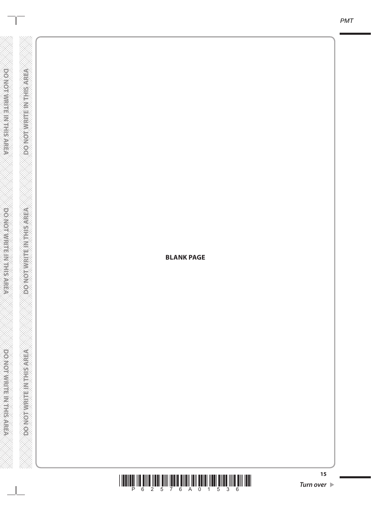**DO NOT WRITEIN THIS AREA** 

**BLANK PAGE**

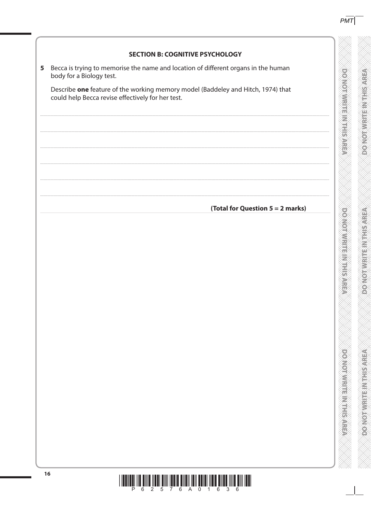|   | <b>SECTION B: COGNITIVE PSYCHOLOGY</b>                                                                                                |
|---|---------------------------------------------------------------------------------------------------------------------------------------|
| 5 | Becca is trying to memorise the name and location of different organs in the human<br>body for a Biology test.                        |
|   | Describe one feature of the working memory model (Baddeley and Hitch, 1974) that<br>could help Becca revise effectively for her test. |
|   |                                                                                                                                       |
|   |                                                                                                                                       |
|   |                                                                                                                                       |
|   |                                                                                                                                       |
|   |                                                                                                                                       |
|   | (Total for Question 5 = 2 marks)                                                                                                      |
|   |                                                                                                                                       |
|   |                                                                                                                                       |
|   |                                                                                                                                       |
|   |                                                                                                                                       |
|   |                                                                                                                                       |
|   |                                                                                                                                       |
|   |                                                                                                                                       |
|   |                                                                                                                                       |
|   |                                                                                                                                       |
|   |                                                                                                                                       |
|   |                                                                                                                                       |
|   |                                                                                                                                       |
|   |                                                                                                                                       |
|   |                                                                                                                                       |
|   |                                                                                                                                       |
|   |                                                                                                                                       |
|   |                                                                                                                                       |
|   |                                                                                                                                       |

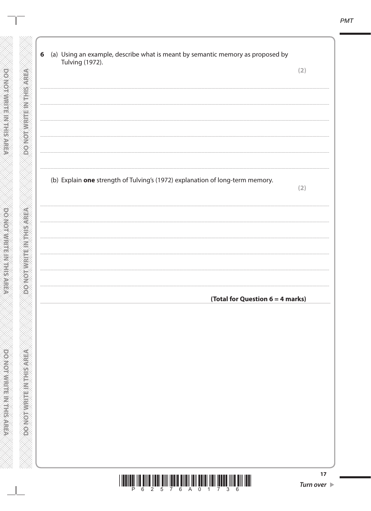| 6<br><b>Tulving (1972).</b> | (a) Using an example, describe what is meant by semantic memory as proposed by |     |
|-----------------------------|--------------------------------------------------------------------------------|-----|
|                             |                                                                                | (2) |
|                             |                                                                                |     |
|                             |                                                                                |     |
|                             |                                                                                |     |
|                             |                                                                                |     |
|                             |                                                                                |     |
|                             | (b) Explain one strength of Tulving's (1972) explanation of long-term memory.  | (2) |
|                             |                                                                                |     |
|                             |                                                                                |     |
|                             |                                                                                |     |
|                             |                                                                                |     |
|                             |                                                                                |     |
|                             | (Total for Question 6 = 4 marks)                                               |     |
|                             |                                                                                |     |
|                             |                                                                                |     |
|                             |                                                                                |     |
|                             |                                                                                |     |
|                             |                                                                                |     |
|                             |                                                                                |     |
|                             |                                                                                |     |
|                             |                                                                                |     |
|                             |                                                                                |     |
|                             |                                                                                |     |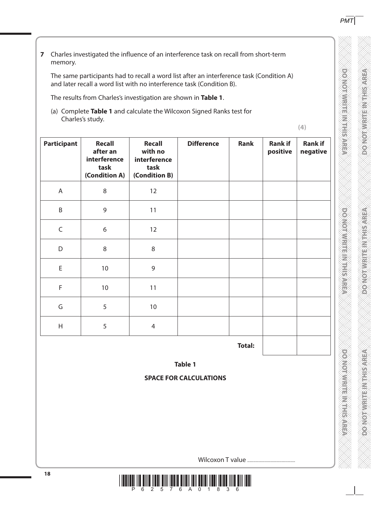**DONOTAVELRIN HEISARE DO NOT WRITE IN THIS AREA** 

**DONOTNIRIE INTERNETS DO NOT WRITE IN THIS AREA**

**7** Charles investigated the influence of an interference task on recall from short-term memory.

The same participants had to recall a word list after an interference task (Condition A) and later recall a word list with no interference task (Condition B).

The results from Charles's investigation are shown in **Table 1**.

(a) Complete **Table 1** and calculate the Wilcoxon Signed Ranks test for Charles's study.

 **(4)**

| <b>Participant</b> | <b>Recall</b><br>after an<br>interference<br>task<br>(Condition A) | <b>Recall</b><br>with no<br>interference<br>task<br>(Condition B) | <b>Difference</b> | Rank | <b>Rank if</b><br>positive | <b>Rank if</b><br>negative |
|--------------------|--------------------------------------------------------------------|-------------------------------------------------------------------|-------------------|------|----------------------------|----------------------------|
| $\overline{A}$     | $\,8\,$                                                            | 12                                                                |                   |      |                            |                            |
| $\sf B$            | 9                                                                  | 11                                                                |                   |      |                            |                            |
| $\mathsf C$        | $\boldsymbol{6}$                                                   | 12                                                                |                   |      |                            |                            |
| D                  | 8                                                                  | 8                                                                 |                   |      |                            |                            |
| $\mathsf E$        | 10                                                                 | 9                                                                 |                   |      |                            |                            |
| $\mathsf F$        | 10                                                                 | 11                                                                |                   |      |                            |                            |
| G                  | 5                                                                  | $10$                                                              |                   |      |                            |                            |
| H                  | 5                                                                  | 4                                                                 |                   |      |                            |                            |

**Total:**

**Table 1**

**SPACE FOR CALCULATIONS**

Wilcoxon T value **.......................................**

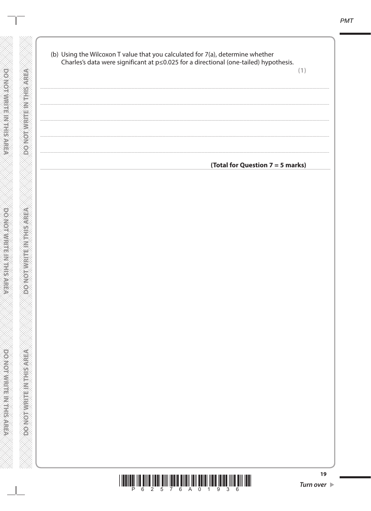| Charles's data were significant at p≤0.025 for a directional (one-tailed) hypothesis.<br>(1) |
|----------------------------------------------------------------------------------------------|
|                                                                                              |
|                                                                                              |
|                                                                                              |
|                                                                                              |
|                                                                                              |
|                                                                                              |
| (Total for Question 7 = 5 marks)                                                             |
|                                                                                              |
|                                                                                              |
|                                                                                              |
|                                                                                              |
|                                                                                              |
|                                                                                              |
|                                                                                              |
|                                                                                              |
|                                                                                              |
|                                                                                              |
|                                                                                              |
|                                                                                              |
|                                                                                              |
|                                                                                              |
|                                                                                              |
|                                                                                              |
|                                                                                              |
|                                                                                              |
|                                                                                              |
|                                                                                              |
|                                                                                              |
|                                                                                              |
|                                                                                              |

**DO NOT WRITE INTHIS AREA** 

**DONOTIVRITEIN THIS AREA** 

**ABO NOT WRITE INTHIS AREA**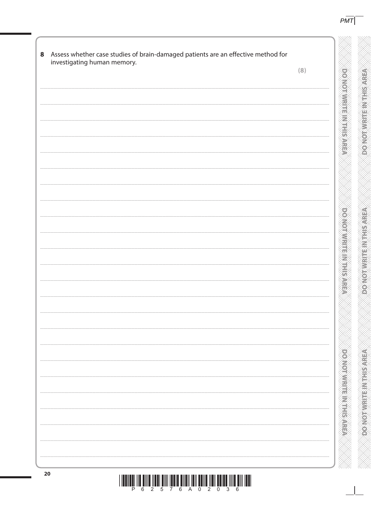| ۹ |  |
|---|--|
|   |  |

| investigating human memory. | Assess whether case studies of brain-damaged patients are an effective method for |     |
|-----------------------------|-----------------------------------------------------------------------------------|-----|
|                             |                                                                                   | (8) |
|                             |                                                                                   |     |
|                             |                                                                                   |     |
|                             |                                                                                   |     |
|                             |                                                                                   |     |
|                             |                                                                                   |     |
|                             |                                                                                   |     |
|                             |                                                                                   |     |
|                             |                                                                                   |     |
|                             |                                                                                   |     |
|                             |                                                                                   |     |
|                             |                                                                                   |     |
|                             |                                                                                   |     |
|                             |                                                                                   |     |
|                             |                                                                                   |     |
|                             |                                                                                   |     |
|                             |                                                                                   |     |
|                             |                                                                                   |     |
|                             |                                                                                   |     |
|                             |                                                                                   |     |
|                             |                                                                                   |     |
|                             |                                                                                   |     |
|                             |                                                                                   |     |
|                             |                                                                                   |     |
|                             |                                                                                   |     |
|                             |                                                                                   |     |
|                             |                                                                                   |     |
|                             |                                                                                   |     |
|                             |                                                                                   |     |
|                             |                                                                                   | .   |
|                             |                                                                                   |     |
|                             |                                                                                   |     |
|                             |                                                                                   |     |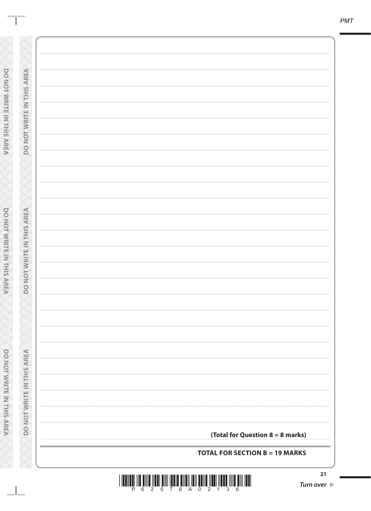| <b>TOTAL FOR SECTION B = 19 MARKS</b> |
|---------------------------------------|
| (Total for Question 8 = 8 marks)      |
|                                       |
|                                       |
|                                       |
|                                       |
|                                       |
|                                       |
|                                       |
|                                       |
|                                       |
|                                       |
|                                       |
|                                       |
|                                       |
|                                       |
|                                       |
|                                       |
|                                       |
|                                       |
|                                       |
|                                       |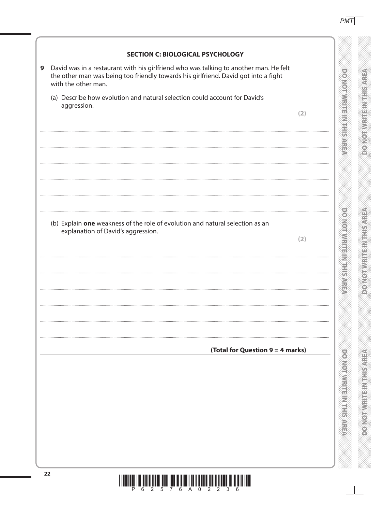| <b>SECTION C: BIOLOGICAL PSYCHOLOGY</b>                                                                                                                                                                  |     |
|----------------------------------------------------------------------------------------------------------------------------------------------------------------------------------------------------------|-----|
| David was in a restaurant with his girlfriend who was talking to another man. He felt<br>9<br>the other man was being too friendly towards his girlfriend. David got into a fight<br>with the other man. |     |
| (a) Describe how evolution and natural selection could account for David's<br>aggression.                                                                                                                |     |
|                                                                                                                                                                                                          | (2) |
|                                                                                                                                                                                                          |     |
|                                                                                                                                                                                                          |     |
|                                                                                                                                                                                                          |     |
|                                                                                                                                                                                                          |     |
|                                                                                                                                                                                                          |     |
| (b) Explain one weakness of the role of evolution and natural selection as an<br>explanation of David's aggression.                                                                                      |     |
|                                                                                                                                                                                                          | (2) |
|                                                                                                                                                                                                          |     |
|                                                                                                                                                                                                          |     |
|                                                                                                                                                                                                          |     |
|                                                                                                                                                                                                          |     |
|                                                                                                                                                                                                          |     |
| (Total for Question 9 = 4 marks)                                                                                                                                                                         |     |
|                                                                                                                                                                                                          |     |
|                                                                                                                                                                                                          |     |
|                                                                                                                                                                                                          |     |
|                                                                                                                                                                                                          |     |
|                                                                                                                                                                                                          |     |
|                                                                                                                                                                                                          |     |
| 22                                                                                                                                                                                                       |     |

 $\begin{array}{c} \text{if} \ \text{if} \ \text{if} \ \text{if} \ \text{if} \ \text{if} \ \text{if} \ \text{if} \ \text{if} \ \text{if} \ \text{if} \ \text{if} \ \text{if} \ \text{if} \ \text{if} \ \text{if} \ \text{if} \ \text{if} \ \text{if} \ \text{if} \ \text{if} \ \text{if} \ \text{if} \ \text{if} \ \text{if} \ \text{if} \ \text{if} \ \text{if} \ \text{if} \ \text{if} \ \text{if} \ \text{if} \ \text{if} \ \text{if} \ \text{if} \ \text{$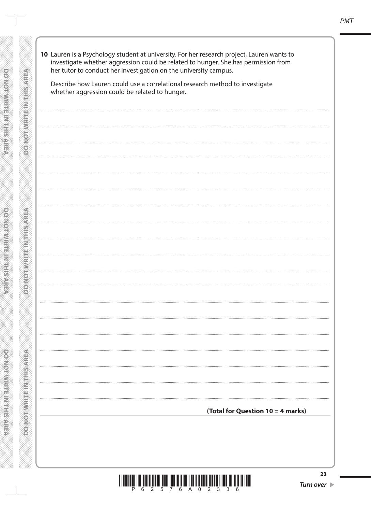|  | her tutor to conduct her investigation on the university campus.                                                               |  |
|--|--------------------------------------------------------------------------------------------------------------------------------|--|
|  | Describe how Lauren could use a correlational research method to investigate<br>whether aggression could be related to hunger. |  |
|  |                                                                                                                                |  |
|  |                                                                                                                                |  |
|  |                                                                                                                                |  |
|  |                                                                                                                                |  |
|  |                                                                                                                                |  |
|  |                                                                                                                                |  |
|  |                                                                                                                                |  |
|  |                                                                                                                                |  |
|  |                                                                                                                                |  |
|  |                                                                                                                                |  |
|  |                                                                                                                                |  |
|  |                                                                                                                                |  |
|  |                                                                                                                                |  |
|  |                                                                                                                                |  |
|  |                                                                                                                                |  |
|  |                                                                                                                                |  |
|  |                                                                                                                                |  |
|  |                                                                                                                                |  |
|  |                                                                                                                                |  |
|  |                                                                                                                                |  |
|  |                                                                                                                                |  |
|  |                                                                                                                                |  |
|  |                                                                                                                                |  |
|  |                                                                                                                                |  |
|  |                                                                                                                                |  |
|  |                                                                                                                                |  |
|  |                                                                                                                                |  |
|  |                                                                                                                                |  |
|  |                                                                                                                                |  |
|  |                                                                                                                                |  |
|  | (Total for Question 10 = 4 marks)                                                                                              |  |
|  |                                                                                                                                |  |

**DO NOTWEITE INTHIS AREA** 

**DONOTWRITEIN THIS AREA** 

**DONOT WRITEIN THIS AREA** 

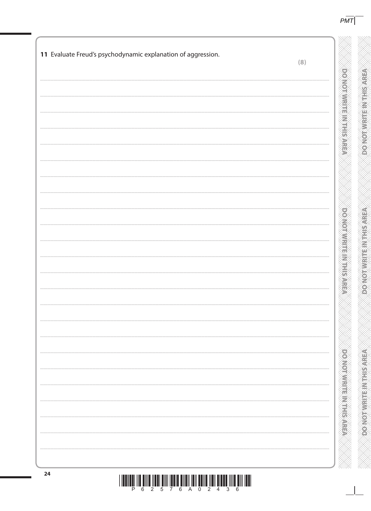|    | (8) |
|----|-----|
|    |     |
|    |     |
|    |     |
|    |     |
|    |     |
|    |     |
|    |     |
|    |     |
|    |     |
|    |     |
|    |     |
|    |     |
|    |     |
|    |     |
|    |     |
|    |     |
|    |     |
|    |     |
|    |     |
|    |     |
|    |     |
|    |     |
|    |     |
|    |     |
|    |     |
|    |     |
|    |     |
| 24 |     |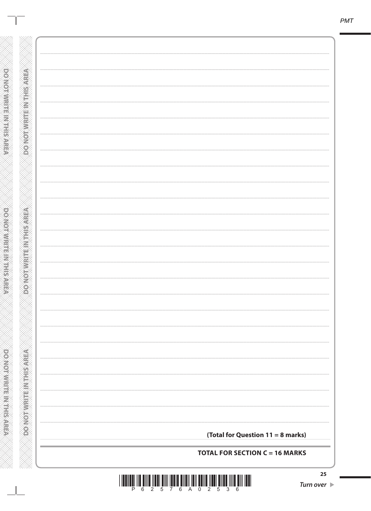| <br><br><br>(Total for Question 11 = 8 marks)<br><b>TOTAL FOR SECTION C = 16 MARKS</b> |  |
|----------------------------------------------------------------------------------------|--|
|                                                                                        |  |
|                                                                                        |  |
|                                                                                        |  |
|                                                                                        |  |
|                                                                                        |  |
|                                                                                        |  |
|                                                                                        |  |
|                                                                                        |  |
|                                                                                        |  |
|                                                                                        |  |
|                                                                                        |  |
|                                                                                        |  |
|                                                                                        |  |
|                                                                                        |  |
|                                                                                        |  |
|                                                                                        |  |
|                                                                                        |  |
|                                                                                        |  |
|                                                                                        |  |
|                                                                                        |  |
|                                                                                        |  |
|                                                                                        |  |
|                                                                                        |  |
|                                                                                        |  |
|                                                                                        |  |
|                                                                                        |  |
|                                                                                        |  |
|                                                                                        |  |
|                                                                                        |  |
|                                                                                        |  |
|                                                                                        |  |
|                                                                                        |  |
|                                                                                        |  |
|                                                                                        |  |
|                                                                                        |  |
|                                                                                        |  |
|                                                                                        |  |
|                                                                                        |  |
|                                                                                        |  |
|                                                                                        |  |
|                                                                                        |  |
|                                                                                        |  |
|                                                                                        |  |
|                                                                                        |  |
|                                                                                        |  |
|                                                                                        |  |
|                                                                                        |  |
|                                                                                        |  |
|                                                                                        |  |
|                                                                                        |  |
|                                                                                        |  |
|                                                                                        |  |
|                                                                                        |  |
|                                                                                        |  |
|                                                                                        |  |
|                                                                                        |  |
|                                                                                        |  |
|                                                                                        |  |
|                                                                                        |  |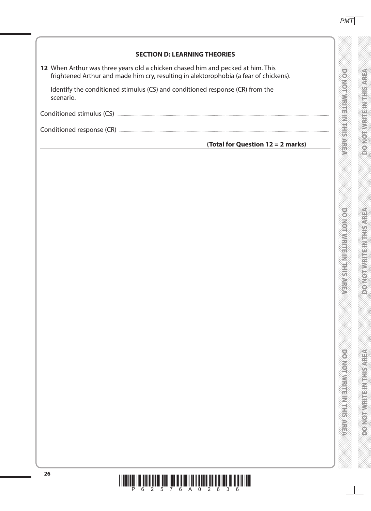**DO NOT WRITE IN THIS AREA** 

**DO NOTWRITER WITHIERREA** 

**DO NOT WRITE IN THE INTERNATIONAL PROPERTY IS A REAL PROPERTY OF A REAL PROPERTY.** 

**DOMOTWRITE/M:HISPREA** 

**DO NOT WRITE IN THIS AREA** 

DO NOT WRITEIN THE RAREA

## **SECTION D: LEARNING THEORIES**

**12** When Arthur was three years old a chicken chased him and pecked at him. This frightened Arthur and made him cry, resulting in alektorophobia (a fear of chickens).

Identify the conditioned stimulus (CS) and conditioned response (CR) from the scenario.

Conditioned stimulus (CS) Entertainment and the conditioned stimulus (CS) and the conditioned stimulus (CS) and the conditioned stimulus (CS) and the conditional conditional conditional conditional conditional conditional

Conditioned response (CR) .........................................................................................................................................................................................................

### **(Total for Question 12 = 2 marks)**

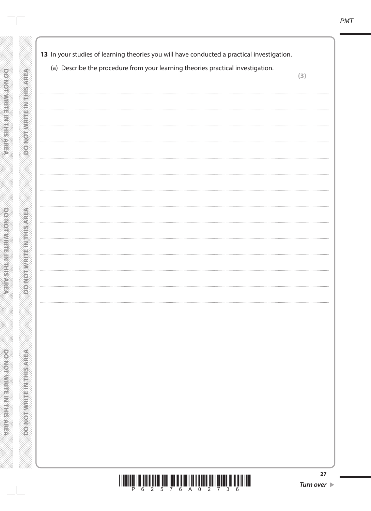| (a) Describe the procedure from your learning theories practical investigation. |     |
|---------------------------------------------------------------------------------|-----|
|                                                                                 | (3) |
|                                                                                 |     |
|                                                                                 |     |
|                                                                                 |     |
|                                                                                 |     |
|                                                                                 |     |
|                                                                                 |     |
|                                                                                 |     |
|                                                                                 |     |
|                                                                                 |     |
|                                                                                 |     |
|                                                                                 |     |
|                                                                                 |     |
|                                                                                 |     |
|                                                                                 |     |
|                                                                                 |     |
|                                                                                 |     |
|                                                                                 |     |
|                                                                                 |     |
|                                                                                 |     |
|                                                                                 |     |
|                                                                                 |     |
|                                                                                 |     |
|                                                                                 |     |
|                                                                                 |     |
|                                                                                 |     |
|                                                                                 |     |
|                                                                                 |     |
|                                                                                 |     |
|                                                                                 |     |
|                                                                                 |     |
|                                                                                 |     |
|                                                                                 |     |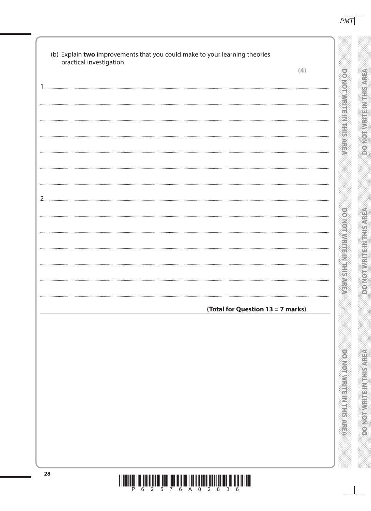| practical investigation. |  |                                   | (4) |
|--------------------------|--|-----------------------------------|-----|
|                          |  |                                   |     |
|                          |  |                                   |     |
|                          |  |                                   |     |
|                          |  |                                   |     |
|                          |  |                                   |     |
|                          |  |                                   |     |
|                          |  |                                   |     |
|                          |  |                                   |     |
|                          |  |                                   |     |
|                          |  |                                   |     |
|                          |  |                                   |     |
|                          |  |                                   |     |
|                          |  |                                   |     |
|                          |  |                                   |     |
|                          |  |                                   |     |
|                          |  |                                   |     |
|                          |  |                                   |     |
|                          |  |                                   |     |
|                          |  |                                   |     |
|                          |  |                                   |     |
|                          |  |                                   |     |
|                          |  | (Total for Question 13 = 7 marks) |     |
|                          |  |                                   |     |
|                          |  |                                   |     |
|                          |  |                                   |     |
|                          |  |                                   |     |
|                          |  |                                   |     |
|                          |  |                                   |     |
|                          |  |                                   |     |
|                          |  |                                   |     |
|                          |  |                                   |     |
|                          |  |                                   |     |
|                          |  |                                   |     |
|                          |  |                                   |     |
|                          |  |                                   |     |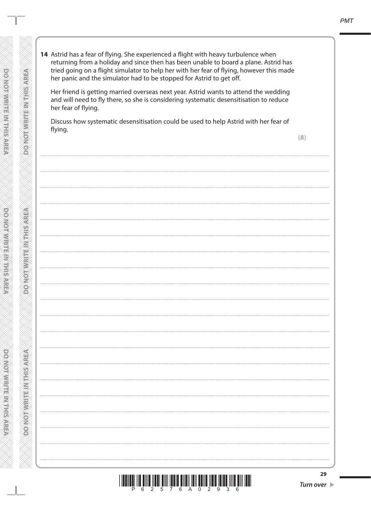

*CERTIFICATE DE SERVICIÓN DE CONTROLS*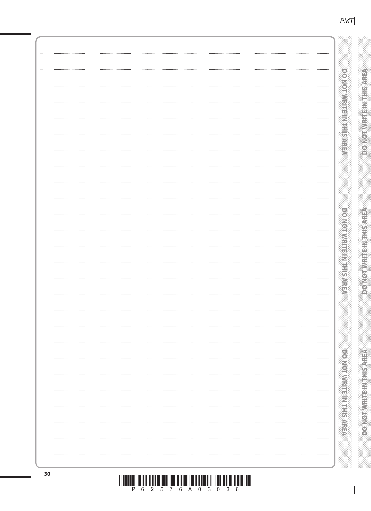| 30 |  |
|----|--|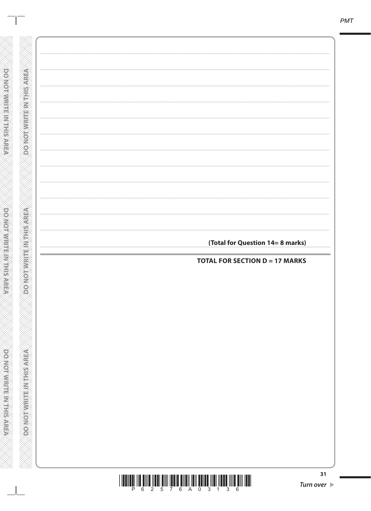| <b>AFFIRE FRANCIS AND CONCOR</b> |                                         |
|----------------------------------|-----------------------------------------|
|                                  |                                         |
|                                  |                                         |
|                                  |                                         |
|                                  |                                         |
|                                  |                                         |
|                                  |                                         |
|                                  |                                         |
|                                  |                                         |
|                                  |                                         |
|                                  |                                         |
|                                  |                                         |
|                                  |                                         |
|                                  |                                         |
|                                  |                                         |
|                                  |                                         |
|                                  |                                         |
|                                  |                                         |
|                                  |                                         |
|                                  |                                         |
|                                  |                                         |
|                                  |                                         |
|                                  |                                         |
|                                  |                                         |
|                                  | (Total for Question 14= 8 marks)        |
|                                  |                                         |
|                                  | <b>TOTAL FOR SECTION D = 17 MARKS</b>   |
|                                  |                                         |
|                                  |                                         |
|                                  |                                         |
|                                  |                                         |
| ◙                                |                                         |
|                                  |                                         |
|                                  |                                         |
|                                  |                                         |
|                                  |                                         |
|                                  |                                         |
|                                  |                                         |
|                                  |                                         |
|                                  |                                         |
|                                  |                                         |
|                                  |                                         |
|                                  |                                         |
|                                  |                                         |
|                                  |                                         |
|                                  |                                         |
|                                  |                                         |
|                                  |                                         |
|                                  |                                         |
|                                  |                                         |
|                                  |                                         |
| <b>DO NOT WRITE IN THIS AREA</b> |                                         |
|                                  |                                         |
|                                  |                                         |
|                                  |                                         |
|                                  |                                         |
|                                  |                                         |
|                                  | 31                                      |
|                                  | IIII<br>Turn over $\blacktriangleright$ |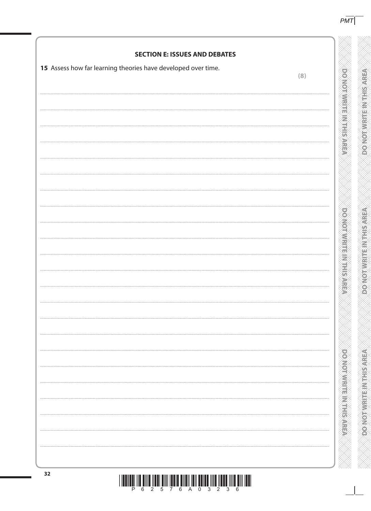| <b>SECTION E: ISSUES AND DEBATES</b>                          |     |
|---------------------------------------------------------------|-----|
| 15 Assess how far learning theories have developed over time. | (8) |
|                                                               |     |
|                                                               |     |
|                                                               |     |
|                                                               |     |
|                                                               |     |
|                                                               |     |
|                                                               |     |
|                                                               |     |
|                                                               |     |
|                                                               |     |
|                                                               |     |
|                                                               |     |
|                                                               |     |
|                                                               |     |
|                                                               |     |
|                                                               |     |
|                                                               |     |
|                                                               |     |
|                                                               |     |
|                                                               |     |
|                                                               |     |
|                                                               |     |
|                                                               |     |
|                                                               |     |
|                                                               |     |
|                                                               |     |
|                                                               |     |
| 32                                                            |     |
|                                                               |     |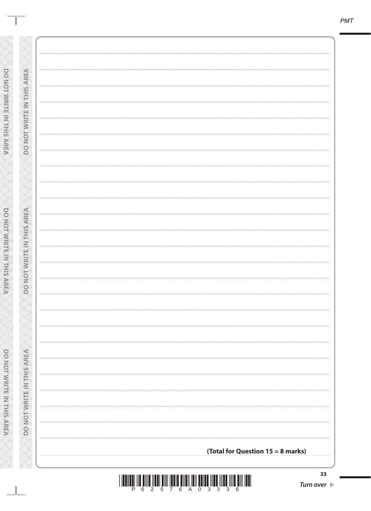| MATON                            |                                   |
|----------------------------------|-----------------------------------|
|                                  |                                   |
|                                  |                                   |
|                                  |                                   |
|                                  |                                   |
|                                  |                                   |
|                                  |                                   |
|                                  |                                   |
|                                  |                                   |
|                                  |                                   |
|                                  |                                   |
|                                  |                                   |
|                                  |                                   |
|                                  |                                   |
|                                  |                                   |
|                                  |                                   |
|                                  |                                   |
|                                  |                                   |
| in<br>C                          |                                   |
|                                  |                                   |
|                                  | .                                 |
|                                  |                                   |
|                                  |                                   |
|                                  |                                   |
|                                  |                                   |
|                                  |                                   |
|                                  |                                   |
|                                  |                                   |
|                                  |                                   |
|                                  |                                   |
|                                  |                                   |
|                                  |                                   |
|                                  |                                   |
|                                  |                                   |
|                                  |                                   |
|                                  |                                   |
|                                  |                                   |
|                                  |                                   |
|                                  |                                   |
|                                  |                                   |
|                                  |                                   |
|                                  |                                   |
|                                  |                                   |
|                                  |                                   |
|                                  |                                   |
|                                  |                                   |
|                                  |                                   |
|                                  |                                   |
|                                  |                                   |
|                                  |                                   |
|                                  |                                   |
|                                  |                                   |
|                                  |                                   |
|                                  |                                   |
|                                  |                                   |
|                                  |                                   |
|                                  |                                   |
|                                  |                                   |
|                                  |                                   |
|                                  |                                   |
|                                  |                                   |
|                                  |                                   |
|                                  |                                   |
|                                  |                                   |
| <b>VERVISION ISLAMINATO NOGE</b> |                                   |
|                                  |                                   |
|                                  |                                   |
|                                  |                                   |
|                                  | (Total for Question 15 = 8 marks) |
|                                  |                                   |
|                                  |                                   |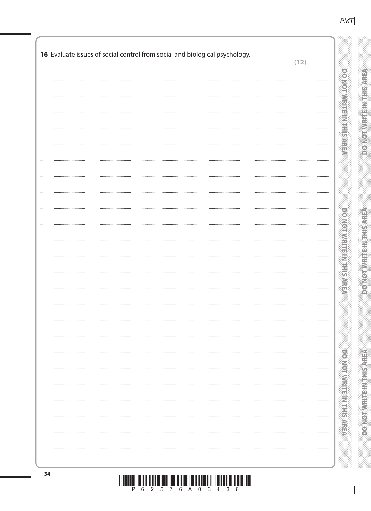| 16 Evaluate issues of social control from social and biological psychology.          | (12)                           |
|--------------------------------------------------------------------------------------|--------------------------------|
|                                                                                      |                                |
|                                                                                      | <b>Donoministic Pressure</b>   |
|                                                                                      |                                |
|                                                                                      |                                |
|                                                                                      |                                |
|                                                                                      |                                |
|                                                                                      |                                |
|                                                                                      |                                |
|                                                                                      | <b>DOWOLF HER HER HER AREA</b> |
|                                                                                      |                                |
|                                                                                      |                                |
|                                                                                      |                                |
|                                                                                      |                                |
|                                                                                      | <b>DONOTWRITEIN THIS AREA</b>  |
|                                                                                      |                                |
|                                                                                      |                                |
|                                                                                      |                                |
|                                                                                      |                                |
| 34<br>$\overline{0}$<br>6<br>$\overline{2}$<br>5<br>6<br>3<br>4<br>3<br>P<br>6<br>7. |                                |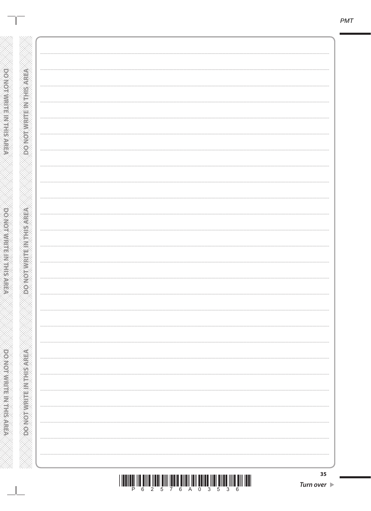| <b>VERVESIERINGER MANAGERIAGES</b><br> |  |
|----------------------------------------|--|